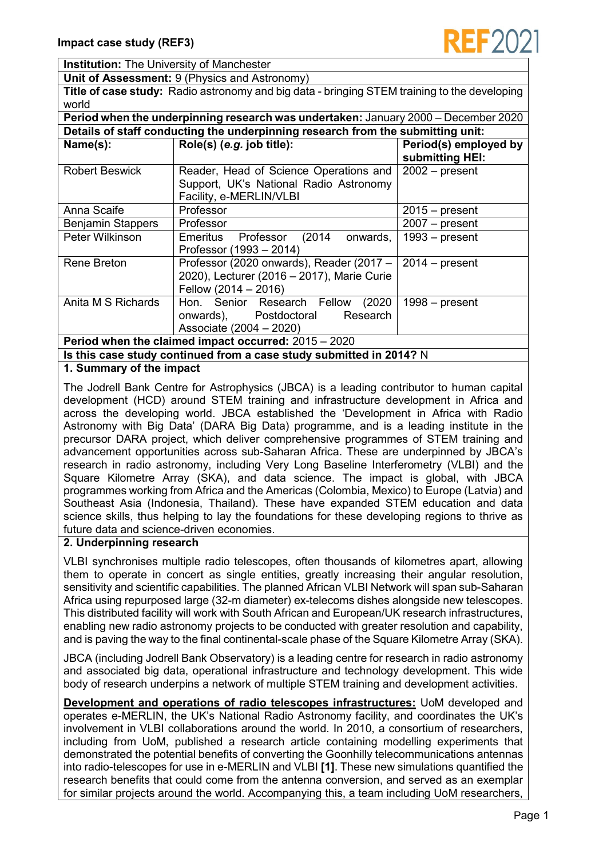

**Institution:** The University of Manchester

**Unit of Assessment:** 9 (Physics and Astronomy)

**Title of case study:** Radio astronomy and big data - bringing STEM training to the developing world

**Period when the underpinning research was undertaken:** January 2000 – December 2020 **Details of staff conducting the underpinning research from the submitting unit: Name(s): Role(s)** (*e.g.* job title): **Period(s)** employed by **submitting HEI:** Robert Beswick | Reader, Head of Science Operations and Support, UK's National Radio Astronomy Facility, e-MERLIN/VLBI 2002 – present Anna Scaife Professor 2015 – present Benjamin Stappers | Professor 2007 – present Peter Wilkinson | Emeritus Professor (2014 onwards, Professor (1993 – 2014) 1993 – present Rene Breton | Professor (2020 onwards), Reader (2017 – 2020), Lecturer (2016 – 2017), Marie Curie Fellow (2014 – 2016) 2014 – present Anita M S Richards | Hon. Senior Research Fellow (2020) onwards), Postdoctoral Research Associate (2004 – 2020) 1998 – present **Period when the claimed impact occurred:** 2015 – 2020

**Is this case study continued from a case study submitted in 2014?** N

## **1. Summary of the impact**

The Jodrell Bank Centre for Astrophysics (JBCA) is a leading contributor to human capital development (HCD) around STEM training and infrastructure development in Africa and across the developing world. JBCA established the 'Development in Africa with Radio Astronomy with Big Data' (DARA Big Data) programme, and is a leading institute in the precursor DARA project, which deliver comprehensive programmes of STEM training and advancement opportunities across sub-Saharan Africa. These are underpinned by JBCA's research in radio astronomy, including Very Long Baseline Interferometry (VLBI) and the Square Kilometre Array (SKA), and data science. The impact is global, with JBCA programmes working from Africa and the Americas (Colombia, Mexico) to Europe (Latvia) and Southeast Asia (Indonesia, Thailand). These have expanded STEM education and data science skills, thus helping to lay the foundations for these developing regions to thrive as future data and science-driven economies.

## **2. Underpinning research**

VLBI synchronises multiple radio telescopes, often thousands of kilometres apart, allowing them to operate in concert as single entities, greatly increasing their angular resolution, sensitivity and scientific capabilities. The planned African VLBI Network will span sub-Saharan Africa using repurposed large (32-m diameter) ex-telecoms dishes alongside new telescopes. This distributed facility will work with South African and European/UK research infrastructures, enabling new radio astronomy projects to be conducted with greater resolution and capability, and is paving the way to the final continental-scale phase of the Square Kilometre Array (SKA).

JBCA (including Jodrell Bank Observatory) is a leading centre for research in radio astronomy and associated big data, operational infrastructure and technology development. This wide body of research underpins a network of multiple STEM training and development activities.

**Development and operations of radio telescopes infrastructures:** UoM developed and operates e-MERLIN, the UK's National Radio Astronomy facility, and coordinates the UK's involvement in VLBI collaborations around the world. In 2010, a consortium of researchers, including from UoM, published a research article containing modelling experiments that demonstrated the potential benefits of converting the Goonhilly telecommunications antennas into radio-telescopes for use in e-MERLIN and VLBI **[1]**. These new simulations quantified the research benefits that could come from the antenna conversion, and served as an exemplar for similar projects around the world. Accompanying this, a team including UoM researchers,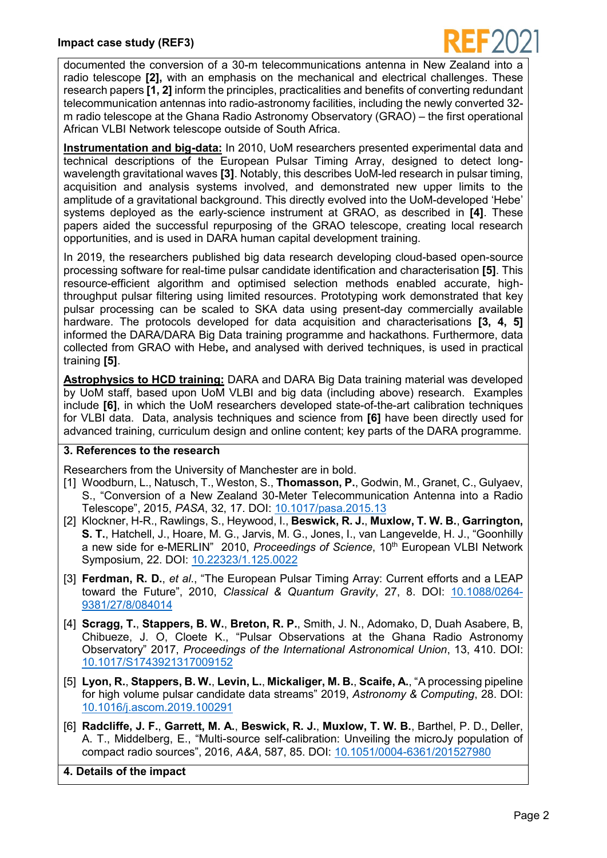

documented the conversion of a 30-m telecommunications antenna in New Zealand into a radio telescope **[2],** with an emphasis on the mechanical and electrical challenges. These research papers **[1, 2]** inform the principles, practicalities and benefits of converting redundant telecommunication antennas into radio-astronomy facilities, including the newly converted 32 m radio telescope at the Ghana Radio Astronomy Observatory (GRAO) – the first operational African VLBI Network telescope outside of South Africa.

**Instrumentation and big-data:** In 2010, UoM researchers presented experimental data and technical descriptions of the European Pulsar Timing Array, designed to detect longwavelength gravitational waves **[3]**. Notably, this describes UoM-led research in pulsar timing, acquisition and analysis systems involved, and demonstrated new upper limits to the amplitude of a gravitational background. This directly evolved into the UoM-developed 'Hebe' systems deployed as the early-science instrument at GRAO, as described in **[4]**. These papers aided the successful repurposing of the GRAO telescope, creating local research opportunities, and is used in DARA human capital development training.

In 2019, the researchers published big data research developing cloud-based open-source processing software for real-time pulsar candidate identification and characterisation **[5]**. This resource-efficient algorithm and optimised selection methods enabled accurate, highthroughput pulsar filtering using limited resources. Prototyping work demonstrated that key pulsar processing can be scaled to SKA data using present-day commercially available hardware. The protocols developed for data acquisition and characterisations **[3, 4, 5]** informed the DARA/DARA Big Data training programme and hackathons. Furthermore, data collected from GRAO with Hebe**,** and analysed with derived techniques, is used in practical training **[5]**.

**Astrophysics to HCD training:** DARA and DARA Big Data training material was developed by UoM staff, based upon UoM VLBI and big data (including above) research. Examples include **[6]**, in which the UoM researchers developed state-of-the-art calibration techniques for VLBI data. Data, analysis techniques and science from **[6]** have been directly used for advanced training, curriculum design and online content; key parts of the DARA programme.

## **3. References to the research**

Researchers from the University of Manchester are in bold.

- [1] Woodburn, L., Natusch, T., Weston, S., **Thomasson, P.**, Godwin, M., Granet, C., Gulyaev, S., "Conversion of a New Zealand 30-Meter Telecommunication Antenna into a Radio Telescope", 2015, *PASA*, 32, 17. DOI: [10.1017/pasa.2015.13](https://doi.org/10.1017/pasa.2015.13)
- [2] Klockner, H-R., Rawlings, S., Heywood, I., **Beswick, R. J.**, **Muxlow, T. W. B.**, **Garrington, S. T.**, Hatchell, J., Hoare, M. G., Jarvis, M. G., Jones, I., van Langevelde, H. J., "Goonhilly a new side for e-MERLIN" 2010, *Proceedings of Science*, 10<sup>th</sup> European VLBI Network Symposium, 22. DOI: [10.22323/1.125.0022](https://doi.org/10.22323/1.125.0022)
- [3] **Ferdman, R. D.**, *et al*., "The European Pulsar Timing Array: Current efforts and a LEAP toward the Future", 2010, *Classical & Quantum Gravity*, 27, 8. DOI: [10.1088/0264-](https://arxiv.org/ct?url=https%3A%2F%2Fdx.doi.org%2F10.1088%2F0264-9381%2F27%2F8%2F084014&v=bfc6b851) [9381/27/8/084014](https://arxiv.org/ct?url=https%3A%2F%2Fdx.doi.org%2F10.1088%2F0264-9381%2F27%2F8%2F084014&v=bfc6b851)
- [4] **Scragg, T.**, **Stappers, B. W.**, **Breton, R. P.**, Smith, J. N., Adomako, D, Duah Asabere, B, Chibueze, J. O, Cloete K., "Pulsar Observations at the Ghana Radio Astronomy Observatory" 2017, *Proceedings of the International Astronomical Union*, 13, 410. DOI: [10.1017/S1743921317009152](http://dx.doi.org/10.1017/S1743921317009152)
- [5] **Lyon, R.**, **Stappers, B. W.**, **Levin, L.**, **Mickaliger, M. B.**, **Scaife, A.**, "A processing pipeline for high volume pulsar candidate data streams" 2019, *Astronomy & Computing*, 28. DOI: [10.1016/j.ascom.2019.100291](https://doi.org/10.1016/j.ascom.2019.100291)
- [6] **Radcliffe, J. F.**, **Garrett, M. A.**, **Beswick, R. J.**, **Muxlow, T. W. B.**, Barthel, P. D., Deller, A. T., Middelberg, E., "Multi-source self-calibration: Unveiling the microJy population of compact radio sources", 2016, *A&A*, 587, 85. DOI: [10.1051/0004-6361/201527980](https://doi.org/10.1051/0004-6361/201527980)

**4. Details of the impact**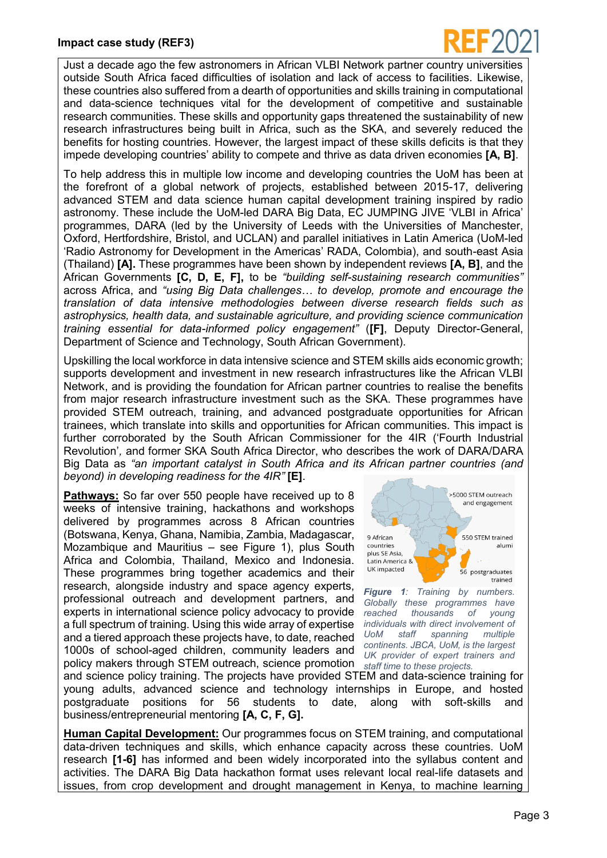

Just a decade ago the few astronomers in African VLBI Network partner country universities outside South Africa faced difficulties of isolation and lack of access to facilities. Likewise, these countries also suffered from a dearth of opportunities and skills training in computational and data-science techniques vital for the development of competitive and sustainable research communities. These skills and opportunity gaps threatened the sustainability of new research infrastructures being built in Africa, such as the SKA, and severely reduced the benefits for hosting countries. However, the largest impact of these skills deficits is that they impede developing countries' ability to compete and thrive as data driven economies **[A, B]**.

To help address this in multiple low income and developing countries the UoM has been at the forefront of a global network of projects, established between 2015-17, delivering advanced STEM and data science human capital development training inspired by radio astronomy. These include the UoM-led DARA Big Data, EC JUMPING JIVE 'VLBI in Africa' programmes, DARA (led by the University of Leeds with the Universities of Manchester, Oxford, Hertfordshire, Bristol, and UCLAN) and parallel initiatives in Latin America (UoM-led 'Radio Astronomy for Development in the Americas' RADA, Colombia), and south-east Asia (Thailand) **[A].** These programmes have been shown by independent reviews **[A, B]**, and the African Governments **[C, D, E, F],** to be *"building self-sustaining research communities"* across Africa, and *"using Big Data challenges… to develop, promote and encourage the translation of data intensive methodologies between diverse research fields such as astrophysics, health data, and sustainable agriculture, and providing science communication training essential for data-informed policy engagement"* (**[F]**, Deputy Director-General, Department of Science and Technology, South African Government).

Upskilling the local workforce in data intensive science and STEM skills aids economic growth; supports development and investment in new research infrastructures like the African VLBI Network, and is providing the foundation for African partner countries to realise the benefits from major research infrastructure investment such as the SKA. These programmes have provided STEM outreach, training, and advanced postgraduate opportunities for African trainees, which translate into skills and opportunities for African communities. This impact is further corroborated by the South African Commissioner for the 4IR ('Fourth Industrial Revolution'*,* and former SKA South Africa Director, who describes the work of DARA/DARA Big Data as *"an important catalyst in South Africa and its African partner countries (and beyond) in developing readiness for the 4IR"* **[E]**.

**Pathways:** So far over 550 people have received up to 8 weeks of intensive training, hackathons and workshops delivered by programmes across 8 African countries (Botswana, Kenya, Ghana, Namibia, Zambia, Madagascar, Mozambique and Mauritius – see Figure 1), plus South Africa and Colombia, Thailand, Mexico and Indonesia. These programmes bring together academics and their research, alongside industry and space agency experts, professional outreach and development partners, and experts in international science policy advocacy to provide a full spectrum of training. Using this wide array of expertise and a tiered approach these projects have, to date, reached 1000s of school-aged children, community leaders and policy makers through STEM outreach, science promotion



*Figure 1: Training by numbers. Globally these programmes have reached thousands of young individuals with direct involvement of UoM staff spanning multiple continents. JBCA, UoM, is the largest UK provider of expert trainers and staff time to these projects.*

and science policy training. The projects have provided STEM and data-science training for young adults, advanced science and technology internships in Europe, and hosted postgraduate positions for 56 students to date, along with soft-skills and business/entrepreneurial mentoring **[A, C, F, G].**

**Human Capital Development:** Our programmes focus on STEM training, and computational data-driven techniques and skills, which enhance capacity across these countries. UoM research **[1-6]** has informed and been widely incorporated into the syllabus content and activities. The DARA Big Data hackathon format uses relevant local real-life datasets and issues, from crop development and drought management in Kenya, to machine learning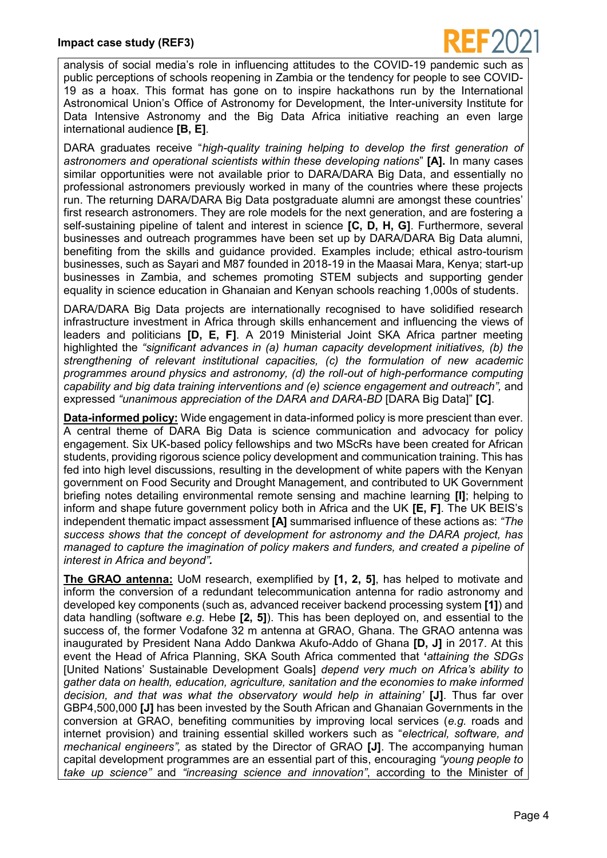

analysis of social media's role in influencing attitudes to the COVID-19 pandemic such as public perceptions of schools reopening in Zambia or the tendency for people to see COVID-19 as a hoax. This format has gone on to inspire hackathons run by the International Astronomical Union's Office of Astronomy for Development, the Inter-university Institute for Data Intensive Astronomy and the Big Data Africa initiative reaching an even large international audience **[B, E]**.

DARA graduates receive "*high-quality training helping to develop the first generation of astronomers and operational scientists within these developing nations*" **[A].** In many cases similar opportunities were not available prior to DARA/DARA Big Data, and essentially no professional astronomers previously worked in many of the countries where these projects run. The returning DARA/DARA Big Data postgraduate alumni are amongst these countries' first research astronomers. They are role models for the next generation, and are fostering a self-sustaining pipeline of talent and interest in science **[C, D, H, G]**. Furthermore, several businesses and outreach programmes have been set up by DARA/DARA Big Data alumni, benefiting from the skills and guidance provided. Examples include; ethical astro-tourism businesses, such as Sayari and M87 founded in 2018-19 in the Maasai Mara, Kenya; start-up businesses in Zambia, and schemes promoting STEM subjects and supporting gender equality in science education in Ghanaian and Kenyan schools reaching 1,000s of students.

DARA/DARA Big Data projects are internationally recognised to have solidified research infrastructure investment in Africa through skills enhancement and influencing the views of leaders and politicians **[D, E, F]**. A 2019 Ministerial Joint SKA Africa partner meeting highlighted the *"significant advances in (a) human capacity development initiatives, (b) the strengthening of relevant institutional capacities, (c) the formulation of new academic programmes around physics and astronomy, (d) the roll-out of high-performance computing capability and big data training interventions and (e) science engagement and outreach",* and expressed *"unanimous appreciation of the DARA and DARA-BD* [DARA Big Data]" **[C]**.

**Data-informed policy:** Wide engagement in data-informed policy is more prescient than ever. A central theme of DARA Big Data is science communication and advocacy for policy engagement. Six UK-based policy fellowships and two MScRs have been created for African students, providing rigorous science policy development and communication training. This has fed into high level discussions, resulting in the development of white papers with the Kenyan government on Food Security and Drought Management, and contributed to UK Government briefing notes detailing environmental remote sensing and machine learning **[I]**; helping to inform and shape future government policy both in Africa and the UK **[E, F]**. The UK BEIS's independent thematic impact assessment **[A]** summarised influence of these actions as: *"The success shows that the concept of development for astronomy and the DARA project, has managed to capture the imagination of policy makers and funders, and created a pipeline of interest in Africa and beyond".*

**The GRAO antenna:** UoM research, exemplified by **[1, 2, 5]**, has helped to motivate and inform the conversion of a redundant telecommunication antenna for radio astronomy and developed key components (such as, advanced receiver backend processing system **[1]**) and data handling (software *e.g.* Hebe **[2, 5]**). This has been deployed on, and essential to the success of, the former Vodafone 32 m antenna at GRAO, Ghana. The GRAO antenna was inaugurated by President Nana Addo Dankwa Akufo-Addo of Ghana **[D, J]** in 2017. At this event the Head of Africa Planning, SKA South Africa commented that **'***attaining the SDGs*  [United Nations' Sustainable Development Goals] *depend very much on Africa's ability to gather data on health, education, agriculture, sanitation and the economies to make informed decision, and that was what the observatory would help in attaining'* **[J]**. Thus far over GBP4,500,000 **[J]** has been invested by the South African and Ghanaian Governments in the conversion at GRAO, benefiting communities by improving local services (*e.g.* roads and internet provision) and training essential skilled workers such as "*electrical, software, and mechanical engineers",* as stated by the Director of GRAO **[J]**. The accompanying human capital development programmes are an essential part of this, encouraging *"young people to take up science"* and *"increasing science and innovation"*, according to the Minister of